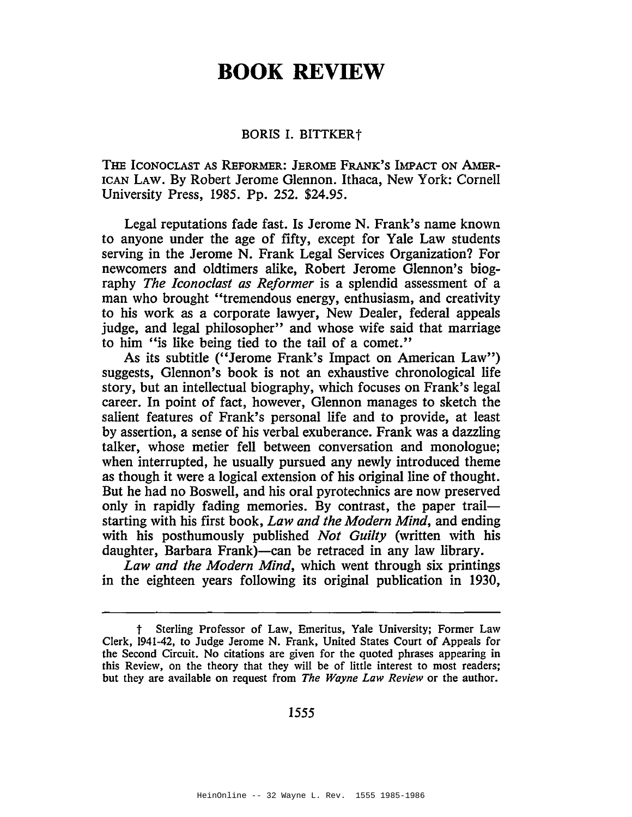## **BOOK REVIEW**

## BORIS I. BITTKERt

THE ICONOCLAST AS REFORMER: JEROME FRANK'S IMPACT ON AMER-ICAN LAW. By Robert Jerome Glennon. Ithaca, New York: Cornell University Press, 1985. Pp. 252. \$24.95.

Legal reputations fade fast. Is Jerome N. Frank's name known to anyone under the age of fifty, except for Yale Law students serving in the Jerome N. Frank Legal Services Organization? For newcomers and oldtimers alike, Robert Jerome Glennon's biography *The Iconoclast as Reformer* is a splendid assessment of a man who brought "tremendous energy, enthusiasm, and creativity to his work as a corporate lawyer, New Dealer, federal appeals judge, and legal philosopher" and whose wife said that marriage to him "is like being tied to the tail of a comet."

As its subtitle ("Jerome Frank's Impact on American Law") suggests, Glennon's book is not an exhaustive chronological life story, but an intellectual biography, which focuses on Frank's legal career. In point of fact, however, Glennon manages to sketch the salient features of Frank's personal life and to provide, at least by assertion, a sense of his verbal exuberance. Frank was a dazzling talker, whose metier fell between conversation and monologue; when interrupted, he usually pursued any newly introduced theme as though it were a logical extension of his original line of thought. But he had no Boswell, and his oral pyrotechnics are now preserved only in rapidly fading memories. By contrast, the paper trailstarting with his first book, *Law and the Modern Mind,* and ending with his posthumously published *Not Guilty* (written with his daughter, Barbara Frank)—can be retraced in any law library.

*Law and the Modern Mind,* which went through six printings in the eighteen years following its original publication in 1930,

1555

Sterling Professor of Law, Emeritus, Yale University; Former Law Clerk, 1941-42, to Judge Jerome N. Frank, United States Court of Appeals for the Second Circuit. No citations are given for the quoted phrases appearing in this Review, on the theory that they will be of little interest to most readers; but they are available on request from *The Wayne Law Review* or the author.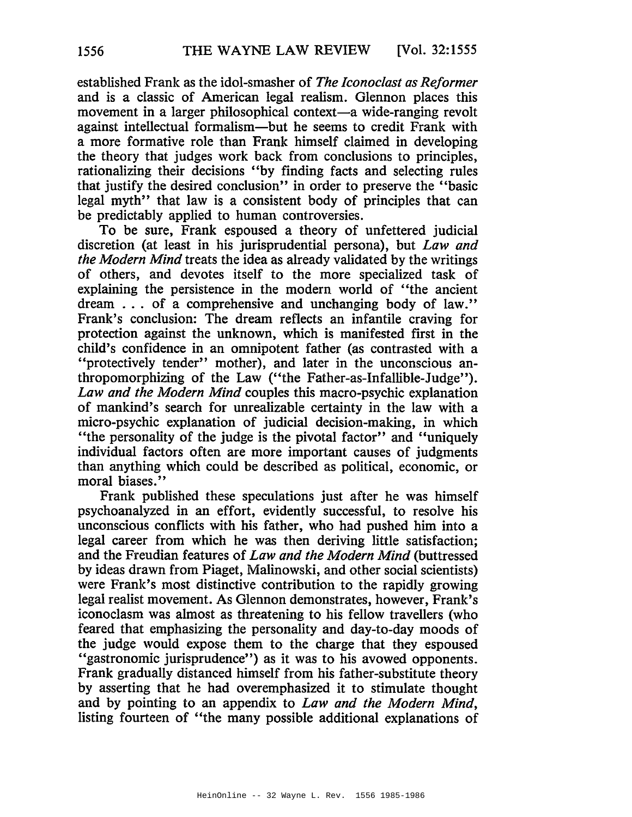established Frank as the idol-smasher of *The Iconoclast as Reformer* and is a classic of American legal realism. Glennon places this movement in a larger philosophical context—a wide-ranging revolt against intellectual formalism-but he seems to credit Frank with a more formative role than Frank himself claimed in developing the theory that judges work back from conclusions to principles, rationalizing their decisions "by finding facts and selecting rules that justify the desired conclusion" in order to preserve the "basic legal myth" that law is a consistent body of principles that can be predictably applied to human controversies.

To be sure, Frank espoused a theory of unfettered judicial discretion (at least in his jurisprudential persona), but *Law and the Modern Mind* treats the idea as already validated by the writings of others, and devotes itself to the more specialized task of explaining the persistence in the modern world of "the ancient dream . . . of a comprehensive and unchanging body of law." Frank's conclusion: The dream reflects an infantile craving for protection against the unknown, which is manifested first in the child's confidence in an omnipotent father (as contrasted with a "protectively tender" mother), and later in the unconscious anthropomorphizing of the Law ("the Father-as-Infallible-Judge"). *Law and the Modern Mind* couples this macro-psychic explanation of mankind's search for unrealizable certainty in the law with a micro-psychic explanation of judicial decision-making, in which "the personality of the judge is the pivotal factor" and "uniquely individual factors often are more important causes of judgments than anything which could be described as political, economic, or moral biases."

Frank published these speculations just after he was himself psychoanalyzed in an effort, evidently successful, to resolve his unconscious conflicts with his father, who had pushed him into a legal career from which he was then deriving little satisfaction; and the Freudian features of *Law and the Modern Mind* (buttressed by ideas drawn from Piaget, Malinowski, and other social scientists) were Frank's most distinctive contribution to the rapidly growing legal realist movement. As Glennon demonstrates, however, Frank's iconoclasm was almost as threatening to his fellow travellers (who feared that emphasizing the personality and day-to-day moods of the judge would expose them to the charge that they espoused "gastronomic jurisprudence") as it was to his avowed opponents. Frank gradually distanced himself from his father-substitute theory by asserting that he had overemphasized it to stimulate thought and by pointing to an appendix to *Law and the Modern Mind,* listing fourteen of "the many possible additional explanations of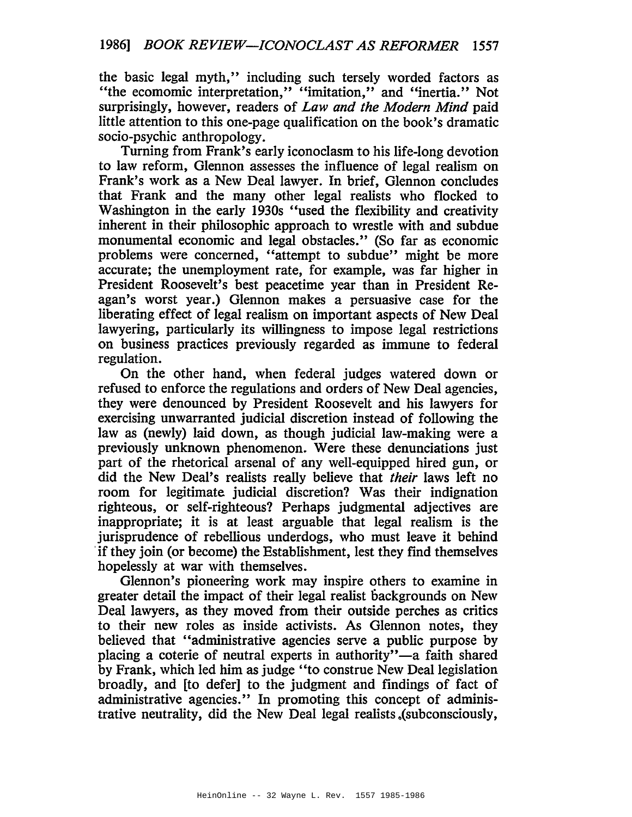the basic legal myth," including such tersely worded factors as "the ecomomic interpretation," "imitation," and "inertia." Not surprisingly, however, readers of *Law and the Modern Mind* paid little attention to this one-page qualification on the book's dramatic socio-psychic anthropology.

Turning from Frank's early iconoclasm to his life-long devotion to law reform, Glennon assesses the influence of legal realism on Frank's work as a New Deal lawyer. In brief, Glennon concludes that Frank and the many other legal realists who flocked to Washington in the early 1930s "used the flexibility and creativity inherent in their philosophic approach to wrestle with and subdue monumental economic and legal obstacles." (So far as economic problems were concerned, "attempt to subdue" might be more accurate; the unemployment rate, for example, was far higher in President Roosevelt's best peacetime year than in President Reagan's worst year.) Glennon makes a persuasive case for the liberating effect of legal realism on important aspects of New Deal lawyering, particularly its willingness to impose legal restrictions on business practices previously regarded as immune to federal regulation.

On the other hand, when federal judges watered down or refused to enforce the regulations and orders of New Deal agencies, they were denounced by President Roosevelt and his lawyers for exercising unwarranted judicial discretion instead of following the law as (newly) laid down, as though judicial law-making were a previously unknown phenomenon. Were these denunciations just part of the rhetorical arsenal of any well-equipped hired gun, or did the New Deal's realists really believe that *their* laws left no room for legitimate judicial discretion? Was their indignation righteous, or self-righteous? Perhaps judgmental adjectives are inappropriate; it is at least arguable that legal realism is the jurisprudence of rebellious underdogs, who must leave it behind 'if they join (or become) the Establishment, lest they fmd themselves hopelessly at war with themselves.

Glennon's pioneering work may inspire others to examine in greater detail the impact of their legal realist backgrounds on New Deal lawyers, as they moved from their outside perches as critics to their new roles as inside activists. As Glennon notes, they believed that "administrative agencies serve a public purpose by placing a coterie of neutral experts in authority"-a faith shared by Frank, which led him as judge "to construe New Deal legislation broadly, and [to defer] to the judgment and findings of fact of administrative agencies." In promoting this concept of administrative neutrality, did the New Deal legal realists.(subconsciously,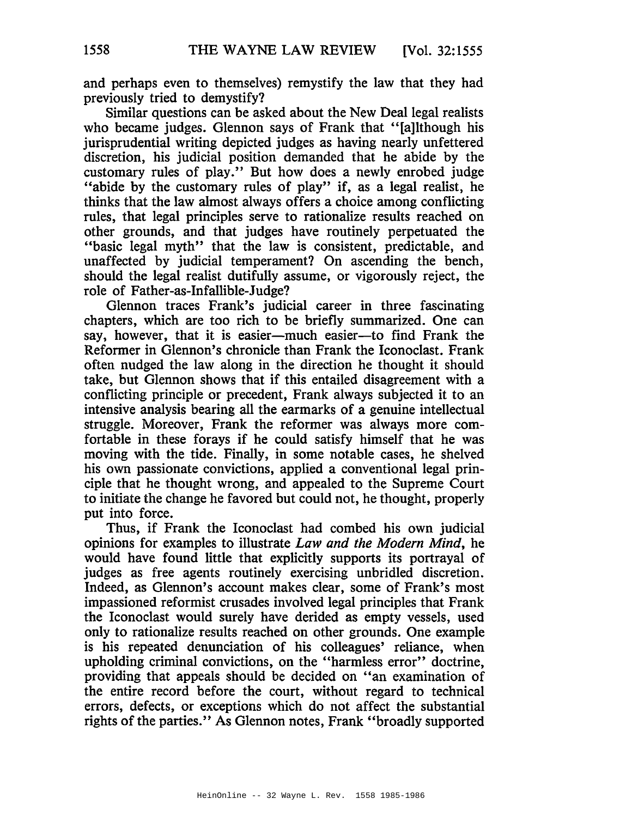and perhaps even to themselves) remystify the law that they had previously tried to demystify?

Similar questions can be asked about the New Deal legal realists who became judges. Glennon says of Frank that "[a]lthough his jurisprudential writing depicted judges as having nearly unfettered discretion, his judicial position demanded that he abide by the customary rules of play." But how does a newly enrobed judge "abide by the customary rules of play" if, as a legal realist, he thinks that the law almost always offers a choice among conflicting rules, that legal principles serve to rationalize results reached on other grounds, and that judges have routinely perpetuated the "basic legal myth" that the law is consistent, predictable, and unaffected by judicial temperament? On ascending the bench, should the legal realist dutifully assume, or vigorously reject, the role of Father-as-Infallible-Judge?

Glennon traces Frank's judicial career in three fascinating chapters, which are too rich to be briefly summarized. One can say, however, that it is easier-much easier-to find Frank the Reformer in Glennon's chronicle than Frank the Iconoclast. Frank often nudged the law along in the direction he thought it should take, but Glennon shows that if this entailed disagreement with a conflicting principle or precedent, Frank always subjected it to an intensive analysis bearing all the earmarks of a genuine intellectual struggle. Moreover, Frank the reformer was always more comfortable in these forays if he could satisfy himself that he was moving with the tide. Finally, in some notable cases, he shelved his own passionate convictions, applied a conventional legal principle that he thought wrong, and appealed to the Supreme Court to initiate the change he favored but could not, he thought, properly put into force.

Thus, if Frank the Iconoclast had combed his own judicial opinions for examples to illustrate *Law and the Modern Mind,* he would have found little that explicitly supports its portrayal of judges as free agents routinely exercising unbridled discretion. Indeed, as Glennon's account makes clear, some of Frank's most impassioned reformist crusades involved legal principles that Frank the Iconoclast would surely have derided as empty vessels, used only to rationalize results reached on other grounds. One example is his repeated denunciation of his colleagues' reliance, when upholding criminal convictions, on the "harmless error" doctrine, providing that appeals should be decided on "an examination of the entire record before the court, without regard to technical errors, defects, or exceptions which do not affect the substantial rights of the parties." As Glennon notes, Frank "broadly supported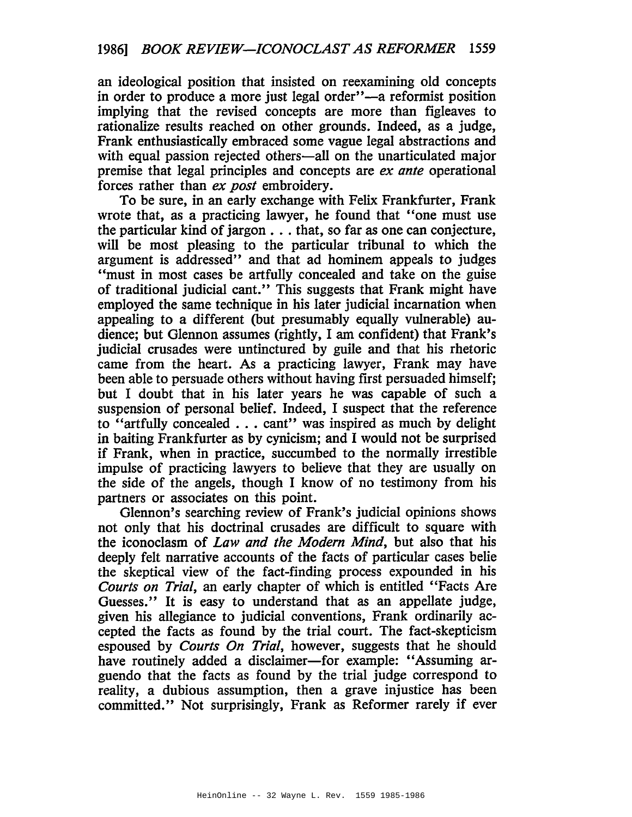an ideological position that insisted on reexamining old concepts in order to produce a more just legal order"-a reformist position implying that the revised concepts are more than figleaves to rationalize results reached on other grounds. Indeed, as a judge, Frank enthusiastically embraced some vague legal abstractions and with equal passion rejected others—all on the unarticulated major premise that legal principles and concepts are *ex ante* operational forces rather than *ex post* embroidery.

To be sure, in an early exchange with Felix Frankfurter, Frank wrote that, as a practicing lawyer, he found that "one must use the particular kind of jargon  $\dots$  that, so far as one can conjecture, will be most pleasing to the particular tribunal to which the argument is addressed" and that ad hominem appeals to judges "must in most cases be artfully concealed and take on the guise of traditional judicial cant." This suggests that Frank might have employed the same technique in his later judicial incarnation when appealing to a different (but presumably equally vulnerable) audience; but Glennon assumes (rightly, I am confident) that Frank's judicial crusades were untinctured by guile and that his rhetoric came from the heart. As a practicing lawyer, Frank may have been able to persuade others without having first persuaded himself; but I doubt that in his later years he was capable of such a suspension of personal belief. Indeed, I suspect that the reference to "artfully concealed ... cant" was inspired as much by delight in baiting Frankfurter as by cynicism; and I would not be surprised if Frank, when in practice, succumbed to the normally irrestible impulse of practicing lawyers to believe that they are usually on the side of the angels, though I know of no testimony from his partners or associates on this point.

Glennon's searching review of Frank's judicial opinions shows not only that his doctrinal crusades are difficult to square with the iconoclasm of *Law and the Modem Mind,* but also that his deeply felt narrative accounts of the facts of particular cases belie the skeptical view of the fact-finding process expounded in his *Courts on Trial,* an early chapter of which is entitled "Facts Are Guesses." It is easy to understand that as an appellate judge, given his allegiance to judicial conventions, Frank ordinarily accepted the facts as found by the trial court. The fact-skepticism espoused by *Courts On Trial,* however, suggests that he should have routinely added a disclaimer—for example: "Assuming arguendo that the facts as found by the trial judge correspond to reality, a dubious assumption, then a grave injustice has been committed." Not surprisingly, Frank as Reformer rarely if ever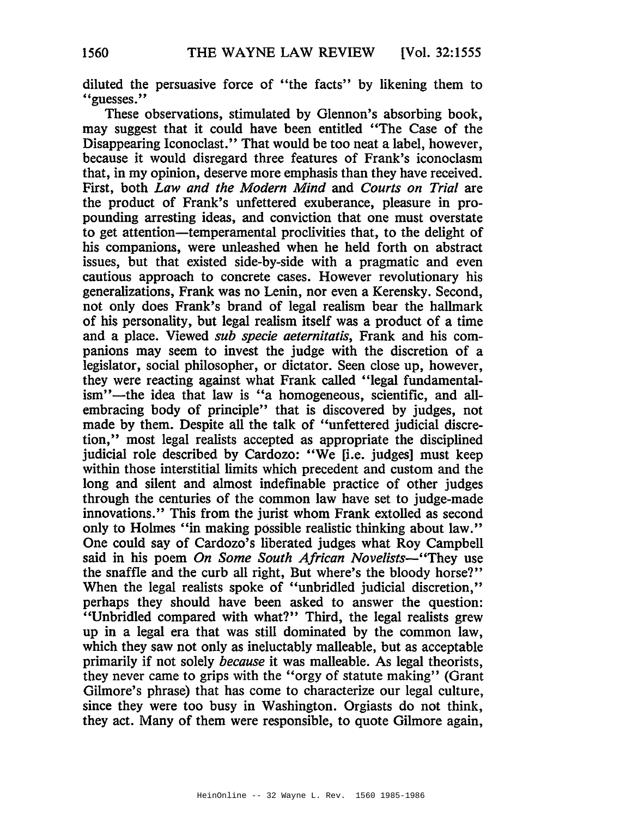diluted the persuasive force of "the facts" by likening them to "guesses."

These observations, stimulated by Glennon's absorbing book, may suggest that it could have been entitled "The Case of the Disappearing Iconoclast." That would be too neat a label, however, because it would disregard three features of Frank's iconoclasm that, in my opinion, deserve more emphasis than they have received. First, both *Law and the Modern Mind* and *Courts on Trial* are the product of Frank's unfettered exuberance, pleasure in propounding arresting ideas, and conviction that one must overstate to get attention-temperamental proclivities that, to the delight of his companions, were unleashed when he held forth on abstract issues, but that existed side-by-side with a pragmatic and even cautious approach to concrete cases. However revolutionary his generalizations, Frank was no Lenin, nor even a Kerensky. Second, not only does Frank's brand of legal realism bear the hallmark of his personality, but legal realism itself was a product of a time and a place. Viewed *sub specie aeternitatis,* Frank and his companions may seem to invest the judge with the discretion of a legislator, social philosopher, or dictator. Seen close up, however, they were reacting against what Frank called "legal fundamentalism"-the idea that law is "a homogeneous, scientific, and allembracing body of principle" that is discovered by judges, not made by them. Despite all the talk of "unfettered judicial discretion," most legal realists accepted as appropriate the disciplined judicial role described by Cardozo: "We *fi.e.* judges] must keep within those interstitial limits which precedent and custom and the long and silent and almost indefinable practice of other judges through the centuries of the common law have set to judge-made innovations." This from the jurist whom Frank extolled as second only to Holmes "in making possible realistic thinking about law." One could say of Cardozo's liberated judges what Roy Campbell said in his poem *On Some South African Novelists-"They* use the snaffle and the curb all right, But where's the bloody horse?" When the legal realists spoke of "unbridled judicial discretion," perhaps they should have been asked to answer the question: "Unbridled compared with what?" Third, the legal realists grew up in a legal era that was still dominated by the common law, which they saw not only as ineluctably malleable, but as acceptable primarily if not solely *because* it was malleable. As legal theorists, they never came to grips with the "orgy of statute making" (Grant Gilmore's phrase) that has come to characterize our legal culture, since they were too busy in Washington. Orgiasts do not think, they act. Many of them were responsible, to quote Gilmore again,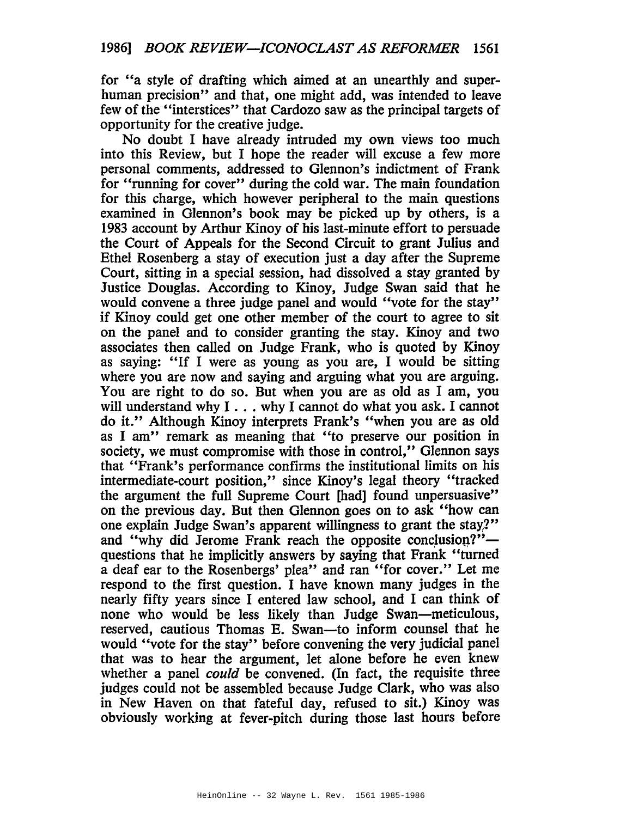for "a style of drafting which aimed at an unearthly and superhuman precision" and that, one might add, was intended to leave few of the "interstices" that Cardozo saw as the principal targets of opportunity for the creative judge.

No doubt I have already intruded my own views too much into this Review, but I hope the reader will excuse a few more personal comments, addressed to Glennon's indictment of Frank for "running for cover" during the cold war. The main foundation for this charge, which however peripheral to the main questions examined in Glennon's book may be picked up by others, is a 1983 account by Arthur Kinoy of his last-minute effort to persuade the Court of Appeals for the Second Circuit to grant Julius and Ethel Rosenberg a stay of execution just a day after the Supreme Court, sitting in a special session, had dissolved a stay granted by Justice Douglas. According to Kinoy, Judge Swan said that he would convene a three judge panel and would "vote for the stay" if Kinoy could get one other member of the court to agree to sit on the panel and to consider granting the stay. Kinoy and two associates then called on Judge Frank, who is quoted by Kinoy as saying: "If I were as young as you are, I would be sitting where you are now and saying and arguing what you are arguing. You are right to do so. But when you are as old as I am, you will understand why I . . . why I cannot do what you ask. I cannot do it." Although Kinoy interprets Frank's "when you are as old as I am" remark as meaning that "to preserve our position in society, we must compromise with those in control," Glennon says that "Frank's performance confirms the institutional limits on his intermediate-court position," since Kinoy's legal theory "tracked the argument the full Supreme Court [had] found unpersuasive" on the previous day. But then Glennon goes on to ask "how can one explain Judge Swan's apparent willingness to grant the stay?" and "why did Jerome Frank reach the opposite conclusion?"questions that he implicitly answers by saying that Frank "turned a deaf ear to the Rosenbergs' plea" and ran "for cover." Let me respond to the first question. I have known many judges in the nearly fifty years since I entered law school, and I can think of none who would be less likely than Judge Swan-meticulous, reserved, cautious Thomas E. Swan-to inform counsel that he would "vote for the stay" before convening the very judicial panel that was to hear the argument, let alone before he even knew whether a panel *could* be convened. (In fact, the requisite three judges could not be assembled because Judge Clark, who was also in New Haven on that fateful day, refused to sit.) Kinoy was obviously working at fever-pitch during those last hours before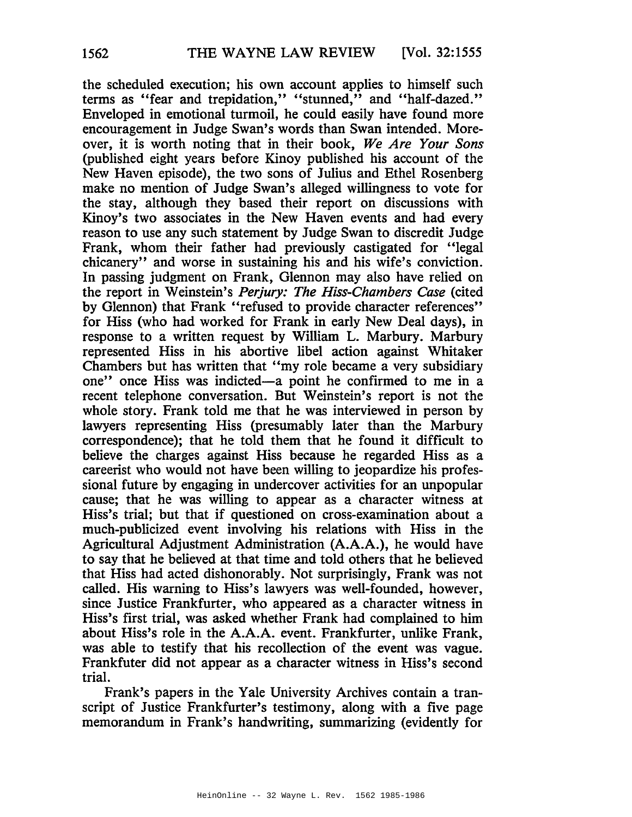the scheduled execution; his own account applies to himself such terms as "fear and trepidation," "stunned," and "half-dazed." Enveloped in emotional turmoil, he could easily have found more encouragement in Judge Swan's words than Swan intended. Moreover, it is worth noting that in their book, *We Are Your Sons* (published eight years before Kinoy published his account of the New Haven episode), the two sons of Julius and Ethel Rosenberg make no mention of Judge Swan's alleged willingness to vote for the stay, although they based their report on discussions with Kinoy's two associates in the New Haven events and had every reason to use any such statement by Judge Swan to discredit Judge Frank, whom their father had previously castigated for "legal chicanery" and worse in sustaining his and his wife's conviction. In passing judgment on Frank, Glennon may also have relied on the report in Weinstein's *Perjury: The Hiss-Chambers Case* (cited by Glennon) that Frank "refused to provide character references" for Hiss (who had worked for Frank in early New Deal days), in response to a written request by William L. Marbury. Marbury represented Hiss in his abortive libel action against Whitaker Chambers but has written that "my role became a very subsidiary one" once Hiss was indicted-a point he confirmed to me in a recent telephone conversation. But Weinstein's report is not the whole story. Frank told me that he was interviewed in person by lawyers representing Hiss (presumably later than the Marbury correspondence); that he told them that he found it difficult to believe the charges against Hiss because he regarded Hiss as a careerist who would not have been willing to jeopardize his professional future by engaging in undercover activities for an unpopular cause; that he was willing to appear as a character witness at Hiss's trial; but that if questioned on cross-examination about a much-publicized event involving his relations with Hiss in the Agricultural Adjustment Administration (A.A.A.), he would have to say that he believed at that time and told others that he believed that Hiss had acted dishonorably. Not surprisingly, Frank was not called. His warning to Hiss's lawyers was well-founded, however, since Justice Frankfurter, who appeared as a character witness in Hiss's first trial, was asked whether Frank had complained to him about Hiss's role in the A.A.A. event. Frankfurter, unlike Frank, was able to testify that his recollection of the event was vague. Frankfuter did not appear as a character witness in Hiss's second trial.

Frank's papers in the Yale University Archives contain a transcript of Justice Frankfurter's testimony, along with a five page memorandum in Frank's handwriting, summarizing (evidently for